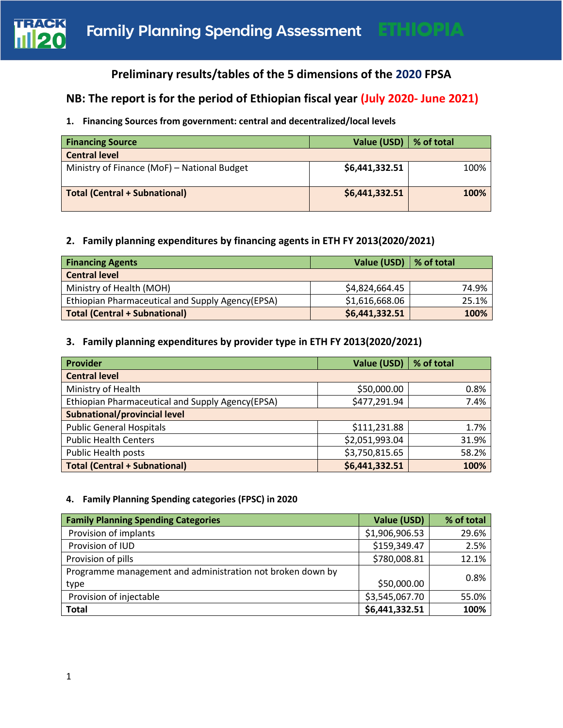

# **Preliminary results/tables of the 5 dimensions of the 2020 FPSA**

# **NB: The report is for the period of Ethiopian fiscal year (July 2020- June 2021)**

# **1. Financing Sources from government: central and decentralized/local levels**

| <b>Financing Source</b>                     | Value (USD)   % of total |      |
|---------------------------------------------|--------------------------|------|
| <b>Central level</b>                        |                          |      |
| Ministry of Finance (MoF) - National Budget | \$6,441,332.51           | 100% |
| Total (Central + Subnational)               | \$6,441,332.51           | 100% |

## **2. Family planning expenditures by financing agents in ETH FY 2013(2020/2021)**

| <b>Financing Agents</b>                          | Value (USD)   % of total |       |
|--------------------------------------------------|--------------------------|-------|
| <b>Central level</b>                             |                          |       |
| Ministry of Health (MOH)                         | \$4,824,664.45           | 74.9% |
| Ethiopian Pharmaceutical and Supply Agency(EPSA) | \$1,616,668.06           | 25.1% |
| <b>Total (Central + Subnational)</b>             | \$6,441,332.51           | 100%  |

# **3. Family planning expenditures by provider type in ETH FY 2013(2020/2021)**

| <b>Provider</b>                                  | Value (USD)   % of total |       |
|--------------------------------------------------|--------------------------|-------|
| <b>Central level</b>                             |                          |       |
| Ministry of Health                               | \$50,000.00              | 0.8%  |
| Ethiopian Pharmaceutical and Supply Agency(EPSA) | \$477,291.94             | 7.4%  |
| <b>Subnational/provincial level</b>              |                          |       |
| <b>Public General Hospitals</b>                  | \$111,231.88             | 1.7%  |
| <b>Public Health Centers</b>                     | \$2,051,993.04           | 31.9% |
| <b>Public Health posts</b>                       | \$3,750,815.65           | 58.2% |
| <b>Total (Central + Subnational)</b>             | \$6,441,332.51           | 100%  |

#### **4. Family Planning Spending categories (FPSC) in 2020**

| <b>Family Planning Spending Categories</b>                 | Value (USD)    | % of total |
|------------------------------------------------------------|----------------|------------|
| Provision of implants                                      | \$1,906,906.53 | 29.6%      |
| Provision of IUD                                           | \$159,349.47   | 2.5%       |
| Provision of pills                                         | \$780,008.81   | 12.1%      |
| Programme management and administration not broken down by |                | 0.8%       |
| type                                                       | \$50,000.00    |            |
| Provision of injectable                                    | \$3,545,067.70 | 55.0%      |
| <b>Total</b>                                               | \$6,441,332.51 | 100%       |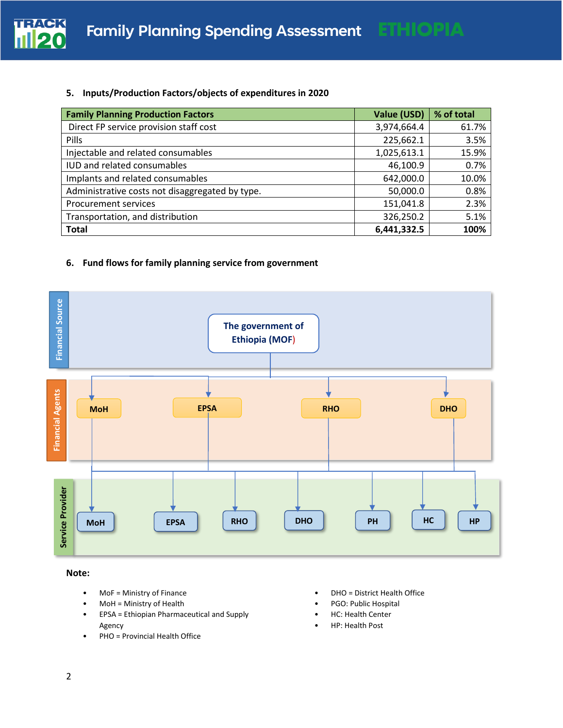

#### **5. Inputs/Production Factors/objects of expenditures in 2020**

| <b>Family Planning Production Factors</b>       | Value (USD) | % of total |
|-------------------------------------------------|-------------|------------|
| Direct FP service provision staff cost          | 3,974,664.4 | 61.7%      |
| Pills                                           | 225,662.1   | 3.5%       |
| Injectable and related consumables              | 1,025,613.1 | 15.9%      |
| IUD and related consumables                     | 46,100.9    | 0.7%       |
| Implants and related consumables                | 642,000.0   | 10.0%      |
| Administrative costs not disaggregated by type. | 50,000.0    | 0.8%       |
| <b>Procurement services</b>                     | 151,041.8   | 2.3%       |
| Transportation, and distribution                | 326,250.2   | 5.1%       |
| <b>Total</b>                                    | 6,441,332.5 | 100%       |

# **6. Fund flows for family planning service from government**



**Note:**

- MoF = Ministry of Finance
- MoH = Ministry of Health
- EPSA = Ethiopian Pharmaceutical and Supply Agency
- PHO = Provincial Health Office
- DHO = District Health Office
- PGO: Public Hospital
- HC: Health Center
- HP: Health Post